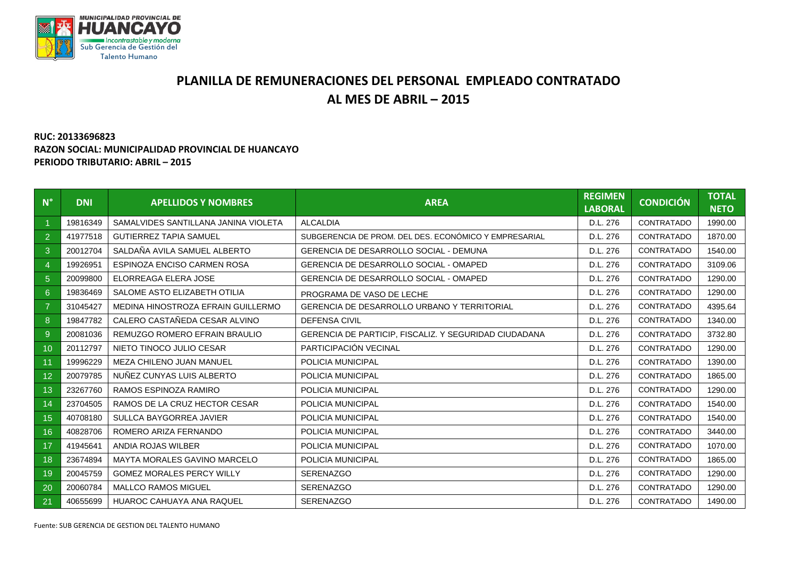

## **PLANILLA DE REMUNERACIONES DEL PERSONAL EMPLEADO CONTRATADO AL MES DE ABRIL – 2015**

## **RUC: 20133696823 RAZON SOCIAL: MUNICIPALIDAD PROVINCIAL DE HUANCAYO PERIODO TRIBUTARIO: ABRIL – 2015**

| $N^{\circ}$    | <b>DNI</b> | <b>APELLIDOS Y NOMBRES</b>           | <b>AREA</b>                                           | <b>REGIMEN</b><br><b>LABORAL</b> | <b>CONDICIÓN</b> | <b>TOTAL</b><br><b>NETO</b> |
|----------------|------------|--------------------------------------|-------------------------------------------------------|----------------------------------|------------------|-----------------------------|
|                | 19816349   | SAMALVIDES SANTILLANA JANINA VIOLETA | <b>ALCALDIA</b>                                       | D.L. 276                         | CONTRATADO       | 1990.00                     |
| $\overline{2}$ | 41977518   | <b>GUTIERREZ TAPIA SAMUEL</b>        | SUBGERENCIA DE PROM. DEL DES. ECONÓMICO Y EMPRESARIAL | D.L. 276                         | CONTRATADO       | 1870.00                     |
| 3              | 20012704   | SALDAÑA AVILA SAMUEL ALBERTO         | <b>GERENCIA DE DESARROLLO SOCIAL - DEMUNA</b>         | D.L. 276                         | CONTRATADO       | 1540.00                     |
| $\overline{4}$ | 19926951   | <b>ESPINOZA ENCISO CARMEN ROSA</b>   | <b>GERENCIA DE DESARROLLO SOCIAL - OMAPED</b>         | D.L. 276                         | CONTRATADO       | 3109.06                     |
| 5 <sup>5</sup> | 20099800   | ELORREAGA ELERA JOSE                 | <b>GERENCIA DE DESARROLLO SOCIAL - OMAPED</b>         | D.L. 276                         | CONTRATADO       | 1290.00                     |
| $6^{\circ}$    | 19836469   | SALOME ASTO ELIZABETH OTILIA         | PROGRAMA DE VASO DE LECHE                             | D.L. 276                         | CONTRATADO       | 1290.00                     |
| $\overline{7}$ | 31045427   | MEDINA HINOSTROZA EFRAIN GUILLERMO   | <b>GERENCIA DE DESARROLLO URBANO Y TERRITORIAL</b>    | D.L. 276                         | CONTRATADO       | 4395.64                     |
| 8              | 19847782   | CALERO CASTAÑEDA CESAR ALVINO        | <b>DEFENSA CIVIL</b>                                  | D.L. 276                         | CONTRATADO       | 1340.00                     |
| 9              | 20081036   | REMUZGO ROMERO EFRAIN BRAULIO        | GERENCIA DE PARTICIP. FISCALIZ, Y SEGURIDAD CIUDADANA | D.L. 276                         | CONTRATADO       | 3732.80                     |
| 10             | 20112797   | NIETO TINOCO JULIO CESAR             | PARTICIPACIÓN VECINAL                                 | D.L. 276                         | CONTRATADO       | 1290.00                     |
| 11             | 19996229   | MEZA CHILENO JUAN MANUEL             | POLICIA MUNICIPAL                                     | D.L. 276                         | CONTRATADO       | 1390.00                     |
| 12             | 20079785   | NUÑEZ CUNYAS LUIS ALBERTO            | POLICIA MUNICIPAL                                     | D.L. 276                         | CONTRATADO       | 1865.00                     |
| 13             | 23267760   | RAMOS ESPINOZA RAMIRO                | POLICIA MUNICIPAL                                     | D.L. 276                         | CONTRATADO       | 1290.00                     |
| 14             | 23704505   | RAMOS DE LA CRUZ HECTOR CESAR        | POLICIA MUNICIPAL                                     | D.L. 276                         | CONTRATADO       | 1540.00                     |
| 15             | 40708180   | SULLCA BAYGORREA JAVIER              | POLICIA MUNICIPAL                                     | D.L. 276                         | CONTRATADO       | 1540.00                     |
| 16             | 40828706   | ROMERO ARIZA FERNANDO                | POLICIA MUNICIPAL                                     | D.L. 276                         | CONTRATADO       | 3440.00                     |
| 17             | 41945641   | ANDIA ROJAS WILBER                   | POLICIA MUNICIPAL                                     | D.L. 276                         | CONTRATADO       | 1070.00                     |
| 18             | 23674894   | <b>MAYTA MORALES GAVINO MARCELO</b>  | POLICIA MUNICIPAL                                     | D.L. 276                         | CONTRATADO       | 1865.00                     |
| 19             | 20045759   | <b>GOMEZ MORALES PERCY WILLY</b>     | <b>SERENAZGO</b>                                      | D.L. 276                         | CONTRATADO       | 1290.00                     |
| 20             | 20060784   | <b>MALLCO RAMOS MIGUEL</b>           | <b>SERENAZGO</b>                                      | D.L. 276                         | CONTRATADO       | 1290.00                     |
| 21             | 40655699   | HUAROC CAHUAYA ANA RAQUEL            | <b>SERENAZGO</b>                                      | D.L. 276                         | CONTRATADO       | 1490.00                     |